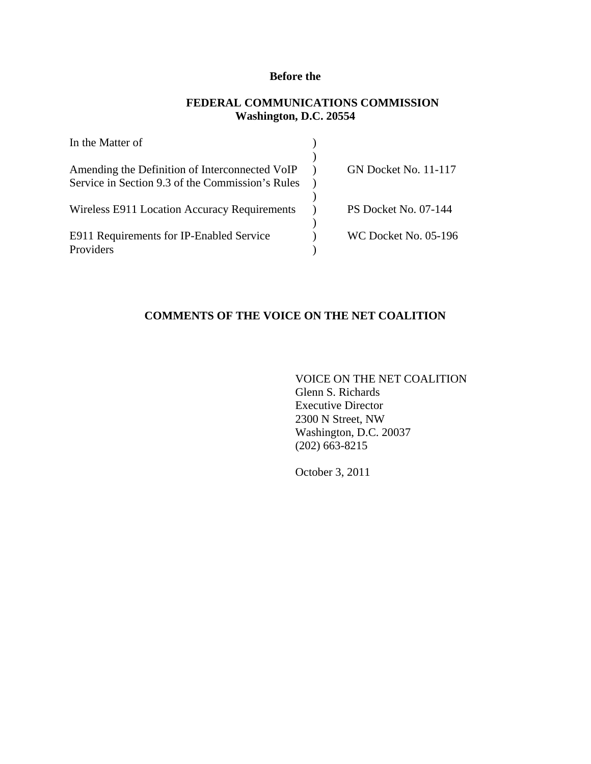# **Before the**

# **FEDERAL COMMUNICATIONS COMMISSION Washington, D.C. 20554**

| In the Matter of                                 |                             |
|--------------------------------------------------|-----------------------------|
|                                                  |                             |
| Amending the Definition of Interconnected VoIP   | <b>GN Docket No. 11-117</b> |
| Service in Section 9.3 of the Commission's Rules |                             |
|                                                  |                             |
| Wireless E911 Location Accuracy Requirements     | PS Docket No. 07-144        |
|                                                  |                             |
| E911 Requirements for IP-Enabled Service         | WC Docket No. 05-196        |
| Providers                                        |                             |

# **COMMENTS OF THE VOICE ON THE NET COALITION**

VOICE ON THE NET COALITION Glenn S. Richards Executive Director 2300 N Street, NW Washington, D.C. 20037 (202) 663-8215

October 3, 2011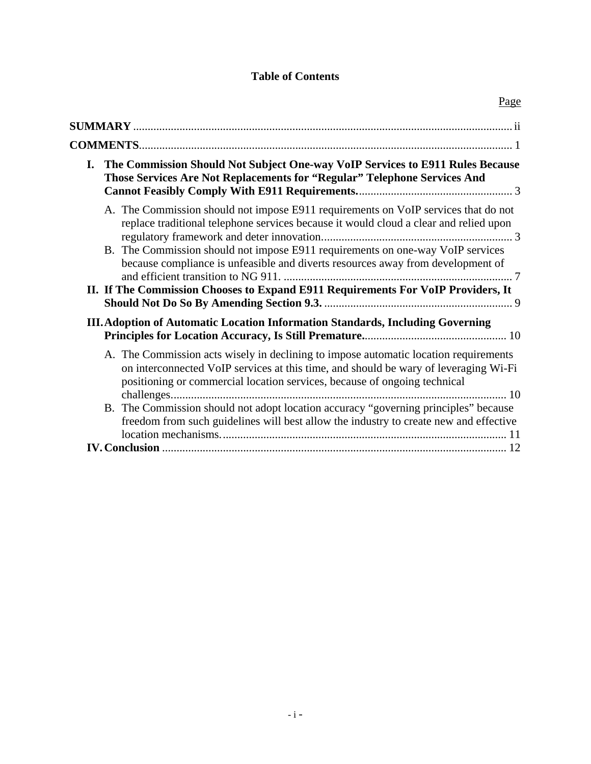# **Table of Contents**

|    |                                                                                                                                                                                                                                                                                                                                                  | Page |
|----|--------------------------------------------------------------------------------------------------------------------------------------------------------------------------------------------------------------------------------------------------------------------------------------------------------------------------------------------------|------|
|    |                                                                                                                                                                                                                                                                                                                                                  |      |
|    |                                                                                                                                                                                                                                                                                                                                                  |      |
| I. | The Commission Should Not Subject One-way VoIP Services to E911 Rules Because<br>Those Services Are Not Replacements for "Regular" Telephone Services And                                                                                                                                                                                        |      |
|    | A. The Commission should not impose E911 requirements on VoIP services that do not<br>replace traditional telephone services because it would cloud a clear and relied upon<br>B. The Commission should not impose E911 requirements on one-way VoIP services<br>because compliance is unfeasible and diverts resources away from development of |      |
|    | II. If The Commission Chooses to Expand E911 Requirements For VoIP Providers, It                                                                                                                                                                                                                                                                 |      |
|    | <b>III. Adoption of Automatic Location Information Standards, Including Governing</b>                                                                                                                                                                                                                                                            |      |
|    | A. The Commission acts wisely in declining to impose automatic location requirements<br>on interconnected VoIP services at this time, and should be wary of leveraging Wi-Fi<br>positioning or commercial location services, because of ongoing technical                                                                                        |      |
|    | B. The Commission should not adopt location accuracy "governing principles" because<br>freedom from such guidelines will best allow the industry to create new and effective                                                                                                                                                                     |      |
|    |                                                                                                                                                                                                                                                                                                                                                  |      |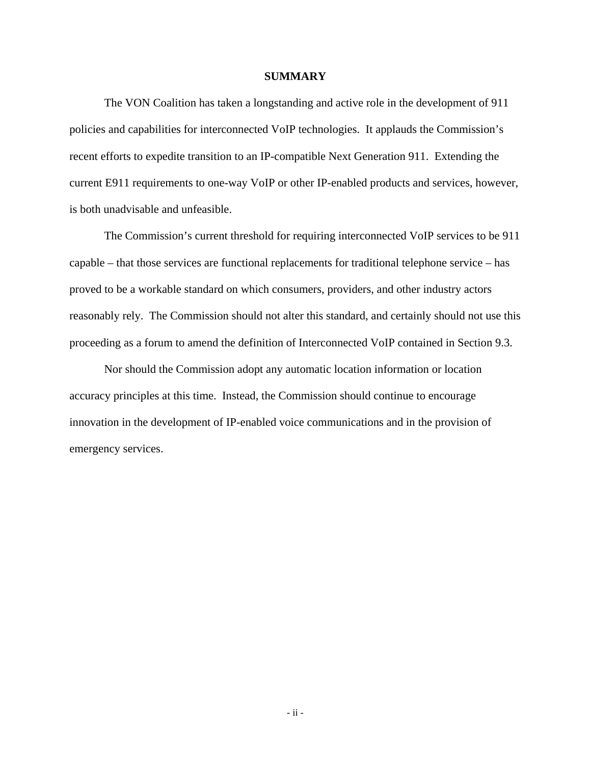#### **SUMMARY**

 The VON Coalition has taken a longstanding and active role in the development of 911 policies and capabilities for interconnected VoIP technologies. It applauds the Commission's recent efforts to expedite transition to an IP-compatible Next Generation 911. Extending the current E911 requirements to one-way VoIP or other IP-enabled products and services, however, is both unadvisable and unfeasible.

 The Commission's current threshold for requiring interconnected VoIP services to be 911 capable – that those services are functional replacements for traditional telephone service – has proved to be a workable standard on which consumers, providers, and other industry actors reasonably rely. The Commission should not alter this standard, and certainly should not use this proceeding as a forum to amend the definition of Interconnected VoIP contained in Section 9.3.

 Nor should the Commission adopt any automatic location information or location accuracy principles at this time. Instead, the Commission should continue to encourage innovation in the development of IP-enabled voice communications and in the provision of emergency services.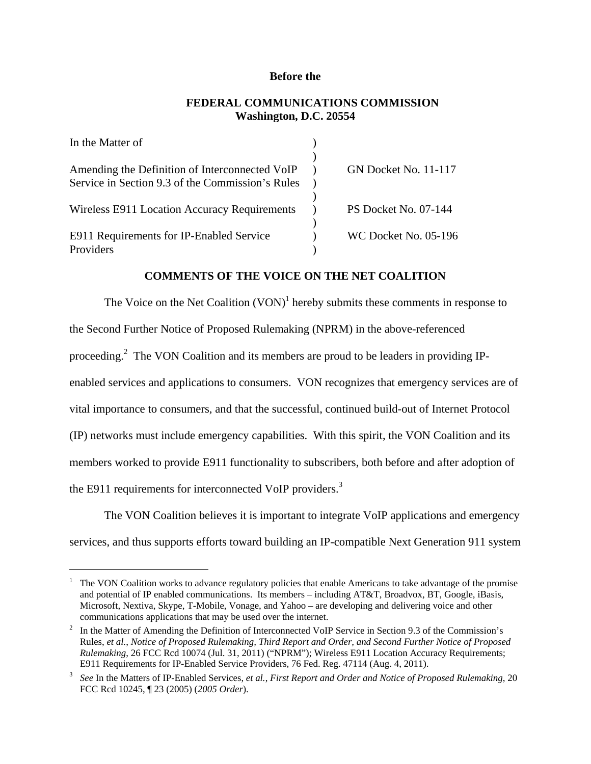#### **Before the**

### **FEDERAL COMMUNICATIONS COMMISSION Washington, D.C. 20554**

| In the Matter of                                 |                             |
|--------------------------------------------------|-----------------------------|
|                                                  |                             |
| Amending the Definition of Interconnected VoIP   | <b>GN Docket No. 11-117</b> |
| Service in Section 9.3 of the Commission's Rules |                             |
|                                                  |                             |
| Wireless E911 Location Accuracy Requirements     | PS Docket No. 07-144        |
|                                                  |                             |
| E911 Requirements for IP-Enabled Service         | WC Docket No. 05-196        |
| Providers                                        |                             |

# **COMMENTS OF THE VOICE ON THE NET COALITION**

The Voice on the Net Coalition  $(VON)^1$  hereby submits these comments in response to the Second Further Notice of Proposed Rulemaking (NPRM) in the above-referenced proceeding.<sup>2</sup> The VON Coalition and its members are proud to be leaders in providing IPenabled services and applications to consumers. VON recognizes that emergency services are of vital importance to consumers, and that the successful, continued build-out of Internet Protocol (IP) networks must include emergency capabilities. With this spirit, the VON Coalition and its members worked to provide E911 functionality to subscribers, both before and after adoption of the E911 requirements for interconnected VoIP providers.<sup>3</sup>

 The VON Coalition believes it is important to integrate VoIP applications and emergency services, and thus supports efforts toward building an IP-compatible Next Generation 911 system

<sup>1</sup> The VON Coalition works to advance regulatory policies that enable Americans to take advantage of the promise and potential of IP enabled communications. Its members – including AT&T, Broadvox, BT, Google, iBasis, Microsoft, Nextiva, Skype, T-Mobile, Vonage, and Yahoo – are developing and delivering voice and other communications applications that may be used over the internet.

<sup>2</sup> In the Matter of Amending the Definition of Interconnected VoIP Service in Section 9.3 of the Commission's Rules, *et al.*, *Notice of Proposed Rulemaking, Third Report and Order, and Second Further Notice of Proposed Rulemaking*, 26 FCC Rcd 10074 (Jul. 31, 2011) ("NPRM"); Wireless E911 Location Accuracy Requirements; E911 Requirements for IP-Enabled Service Providers, 76 Fed. Reg. 47114 (Aug. 4, 2011).

<sup>3</sup> *See* In the Matters of IP-Enabled Services, *et al.*, *First Report and Order and Notice of Proposed Rulemaking*, 20 FCC Rcd 10245, ¶ 23 (2005) (*2005 Order*).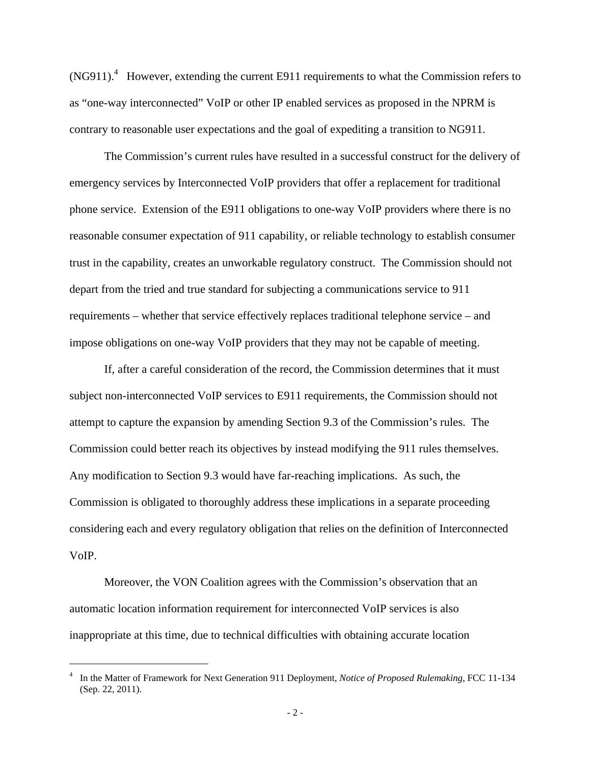$(NG911).$ <sup>4</sup> However, extending the current E911 requirements to what the Commission refers to as "one-way interconnected" VoIP or other IP enabled services as proposed in the NPRM is contrary to reasonable user expectations and the goal of expediting a transition to NG911.

 The Commission's current rules have resulted in a successful construct for the delivery of emergency services by Interconnected VoIP providers that offer a replacement for traditional phone service. Extension of the E911 obligations to one-way VoIP providers where there is no reasonable consumer expectation of 911 capability, or reliable technology to establish consumer trust in the capability, creates an unworkable regulatory construct. The Commission should not depart from the tried and true standard for subjecting a communications service to 911 requirements – whether that service effectively replaces traditional telephone service – and impose obligations on one-way VoIP providers that they may not be capable of meeting.

 If, after a careful consideration of the record, the Commission determines that it must subject non-interconnected VoIP services to E911 requirements, the Commission should not attempt to capture the expansion by amending Section 9.3 of the Commission's rules. The Commission could better reach its objectives by instead modifying the 911 rules themselves. Any modification to Section 9.3 would have far-reaching implications. As such, the Commission is obligated to thoroughly address these implications in a separate proceeding considering each and every regulatory obligation that relies on the definition of Interconnected VoIP.

 Moreover, the VON Coalition agrees with the Commission's observation that an automatic location information requirement for interconnected VoIP services is also inappropriate at this time, due to technical difficulties with obtaining accurate location

<sup>4</sup> In the Matter of Framework for Next Generation 911 Deployment, *Notice of Proposed Rulemaking,* FCC 11-134 (Sep. 22, 2011).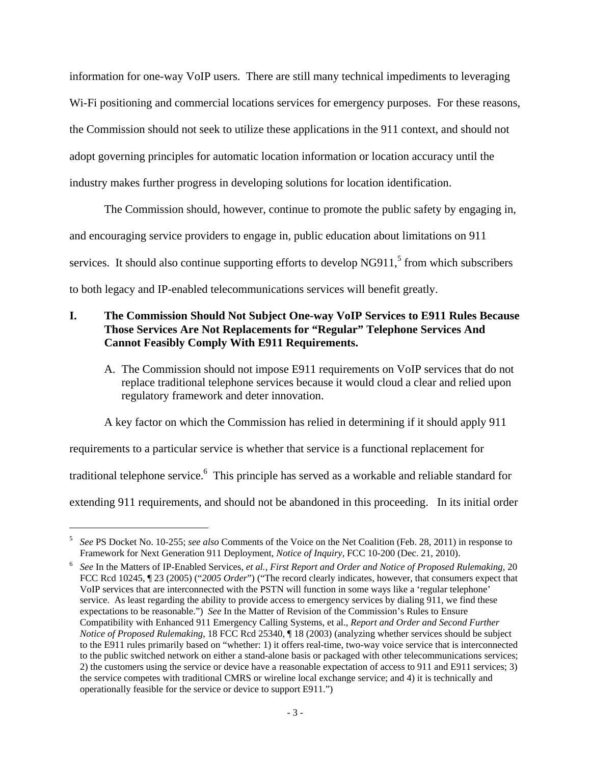information for one-way VoIP users. There are still many technical impediments to leveraging Wi-Fi positioning and commercial locations services for emergency purposes. For these reasons, the Commission should not seek to utilize these applications in the 911 context, and should not adopt governing principles for automatic location information or location accuracy until the industry makes further progress in developing solutions for location identification.

 The Commission should, however, continue to promote the public safety by engaging in, and encouraging service providers to engage in, public education about limitations on 911 services. It should also continue supporting efforts to develop  $NG911<sup>5</sup>$  from which subscribers to both legacy and IP-enabled telecommunications services will benefit greatly.

# **I. The Commission Should Not Subject One-way VoIP Services to E911 Rules Because Those Services Are Not Replacements for "Regular" Telephone Services And Cannot Feasibly Comply With E911 Requirements.**

A. The Commission should not impose E911 requirements on VoIP services that do not replace traditional telephone services because it would cloud a clear and relied upon regulatory framework and deter innovation.

A key factor on which the Commission has relied in determining if it should apply 911

requirements to a particular service is whether that service is a functional replacement for traditional telephone service.<sup>6</sup> This principle has served as a workable and reliable standard for extending 911 requirements, and should not be abandoned in this proceeding. In its initial order

<sup>5</sup> *See* PS Docket No. 10-255; *see also* Comments of the Voice on the Net Coalition (Feb. 28, 2011) in response to Framework for Next Generation 911 Deployment, *Notice of Inquiry*, FCC 10-200 (Dec. 21, 2010). 6

*See* In the Matters of IP-Enabled Services, *et al.*, *First Report and Order and Notice of Proposed Rulemaking*, 20 FCC Rcd 10245, ¶ 23 (2005) ("*2005 Order*") ("The record clearly indicates, however, that consumers expect that VoIP services that are interconnected with the PSTN will function in some ways like a 'regular telephone' service. As least regarding the ability to provide access to emergency services by dialing 911, we find these expectations to be reasonable.") *See* In the Matter of Revision of the Commission's Rules to Ensure Compatibility with Enhanced 911 Emergency Calling Systems, et al., *Report and Order and Second Further Notice of Proposed Rulemaking*, 18 FCC Rcd 25340,  $\parallel$  18 (2003) (analyzing whether services should be subject to the E911 rules primarily based on "whether: 1) it offers real-time, two-way voice service that is interconnected to the public switched network on either a stand-alone basis or packaged with other telecommunications services; 2) the customers using the service or device have a reasonable expectation of access to 911 and E911 services; 3) the service competes with traditional CMRS or wireline local exchange service; and 4) it is technically and operationally feasible for the service or device to support E911.")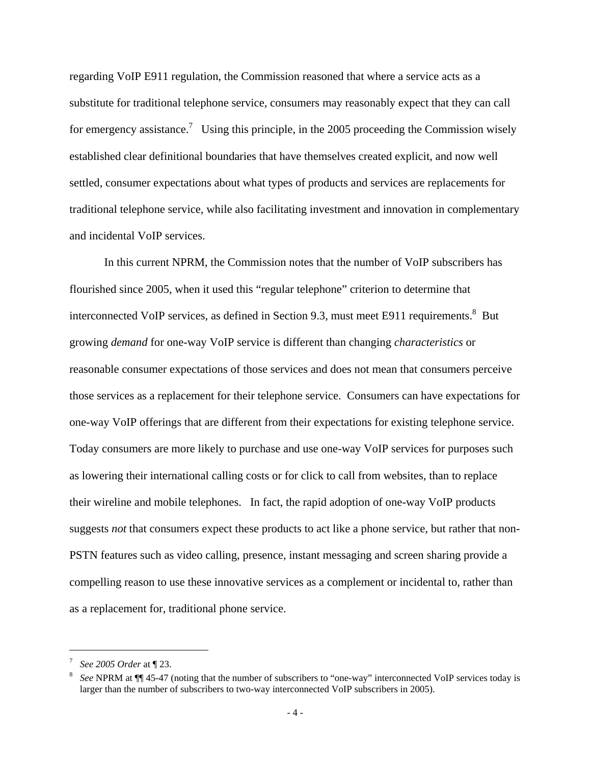regarding VoIP E911 regulation, the Commission reasoned that where a service acts as a substitute for traditional telephone service, consumers may reasonably expect that they can call for emergency assistance.<sup>7</sup> Using this principle, in the 2005 proceeding the Commission wisely established clear definitional boundaries that have themselves created explicit, and now well settled, consumer expectations about what types of products and services are replacements for traditional telephone service, while also facilitating investment and innovation in complementary and incidental VoIP services.

 In this current NPRM, the Commission notes that the number of VoIP subscribers has flourished since 2005, when it used this "regular telephone" criterion to determine that interconnected VoIP services, as defined in Section 9.3, must meet E911 requirements. <sup>8</sup> But growing *demand* for one-way VoIP service is different than changing *characteristics* or reasonable consumer expectations of those services and does not mean that consumers perceive those services as a replacement for their telephone service. Consumers can have expectations for one-way VoIP offerings that are different from their expectations for existing telephone service. Today consumers are more likely to purchase and use one-way VoIP services for purposes such as lowering their international calling costs or for click to call from websites, than to replace their wireline and mobile telephones. In fact, the rapid adoption of one-way VoIP products suggests *not* that consumers expect these products to act like a phone service, but rather that non-PSTN features such as video calling, presence, instant messaging and screen sharing provide a compelling reason to use these innovative services as a complement or incidental to, rather than as a replacement for, traditional phone service.

1

<sup>7</sup> *See* 2005 Order at ¶ 23.

*See* NPRM at ¶¶ 45-47 (noting that the number of subscribers to "one-way" interconnected VoIP services today is larger than the number of subscribers to two-way interconnected VoIP subscribers in 2005).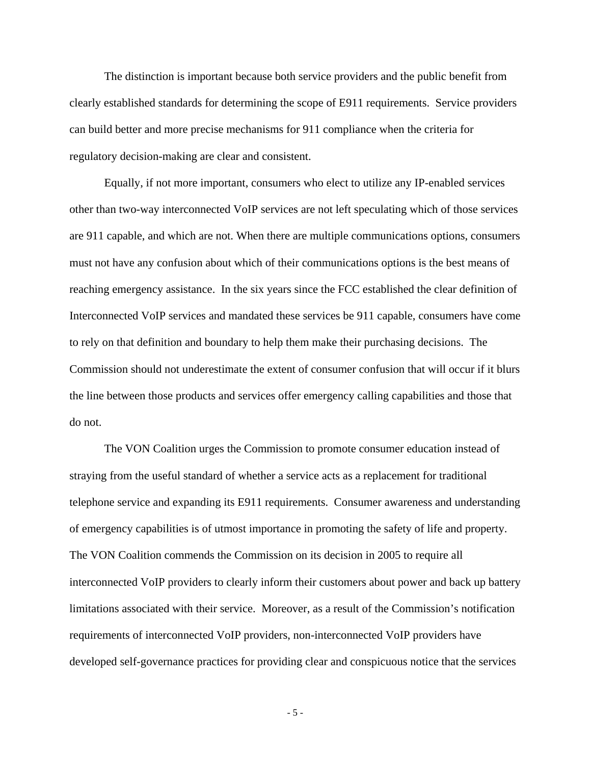The distinction is important because both service providers and the public benefit from clearly established standards for determining the scope of E911 requirements. Service providers can build better and more precise mechanisms for 911 compliance when the criteria for regulatory decision-making are clear and consistent.

 Equally, if not more important, consumers who elect to utilize any IP-enabled services other than two-way interconnected VoIP services are not left speculating which of those services are 911 capable, and which are not. When there are multiple communications options, consumers must not have any confusion about which of their communications options is the best means of reaching emergency assistance. In the six years since the FCC established the clear definition of Interconnected VoIP services and mandated these services be 911 capable, consumers have come to rely on that definition and boundary to help them make their purchasing decisions. The Commission should not underestimate the extent of consumer confusion that will occur if it blurs the line between those products and services offer emergency calling capabilities and those that do not.

 The VON Coalition urges the Commission to promote consumer education instead of straying from the useful standard of whether a service acts as a replacement for traditional telephone service and expanding its E911 requirements. Consumer awareness and understanding of emergency capabilities is of utmost importance in promoting the safety of life and property. The VON Coalition commends the Commission on its decision in 2005 to require all interconnected VoIP providers to clearly inform their customers about power and back up battery limitations associated with their service. Moreover, as a result of the Commission's notification requirements of interconnected VoIP providers, non-interconnected VoIP providers have developed self-governance practices for providing clear and conspicuous notice that the services

- 5 -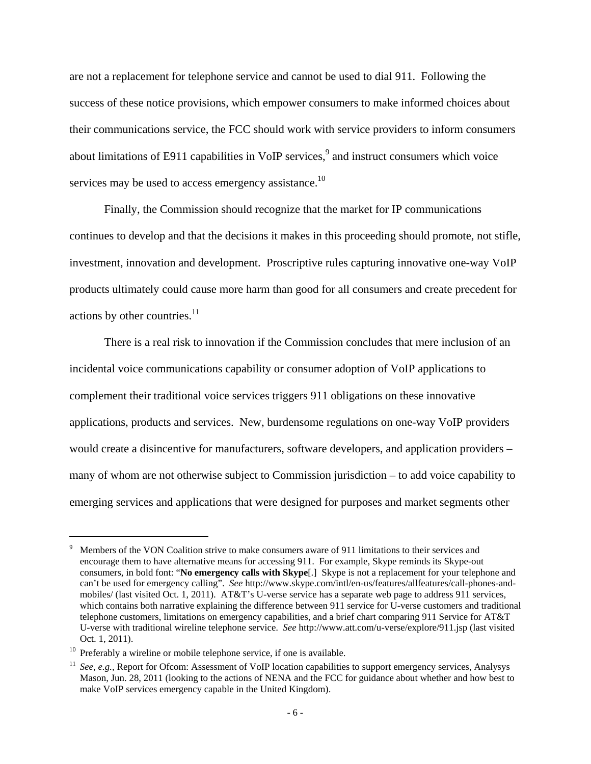are not a replacement for telephone service and cannot be used to dial 911. Following the success of these notice provisions, which empower consumers to make informed choices about their communications service, the FCC should work with service providers to inform consumers about limitations of E911 capabilities in VoIP services,<sup>9</sup> and instruct consumers which voice services may be used to access emergency assistance.<sup>10</sup>

 Finally, the Commission should recognize that the market for IP communications continues to develop and that the decisions it makes in this proceeding should promote, not stifle, investment, innovation and development. Proscriptive rules capturing innovative one-way VoIP products ultimately could cause more harm than good for all consumers and create precedent for actions by other countries.<sup>11</sup>

There is a real risk to innovation if the Commission concludes that mere inclusion of an incidental voice communications capability or consumer adoption of VoIP applications to complement their traditional voice services triggers 911 obligations on these innovative applications, products and services. New, burdensome regulations on one-way VoIP providers would create a disincentive for manufacturers, software developers, and application providers – many of whom are not otherwise subject to Commission jurisdiction – to add voice capability to emerging services and applications that were designed for purposes and market segments other

<sup>9</sup> Members of the VON Coalition strive to make consumers aware of 911 limitations to their services and encourage them to have alternative means for accessing 911. For example, Skype reminds its Skype-out consumers, in bold font: "**No emergency calls with Skype**[.] Skype is not a replacement for your telephone and can't be used for emergency calling". *See* http://www.skype.com/intl/en-us/features/allfeatures/call-phones-andmobiles/ (last visited Oct. 1, 2011). AT&T's U-verse service has a separate web page to address 911 services, which contains both narrative explaining the difference between 911 service for U-verse customers and traditional telephone customers, limitations on emergency capabilities, and a brief chart comparing 911 Service for AT&T U-verse with traditional wireline telephone service. *See* http://www.att.com/u-verse/explore/911.jsp (last visited Oct. 1, 2011).  $10^{10}$  Preferably a wireline or mobile telephone service, if one is available.

<sup>&</sup>lt;sup>11</sup> *See, e.g.*, Report for Ofcom: Assessment of VoIP location capabilities to support emergency services, Analysys Mason, Jun. 28, 2011 (looking to the actions of NENA and the FCC for guidance about whether and how best to make VoIP services emergency capable in the United Kingdom).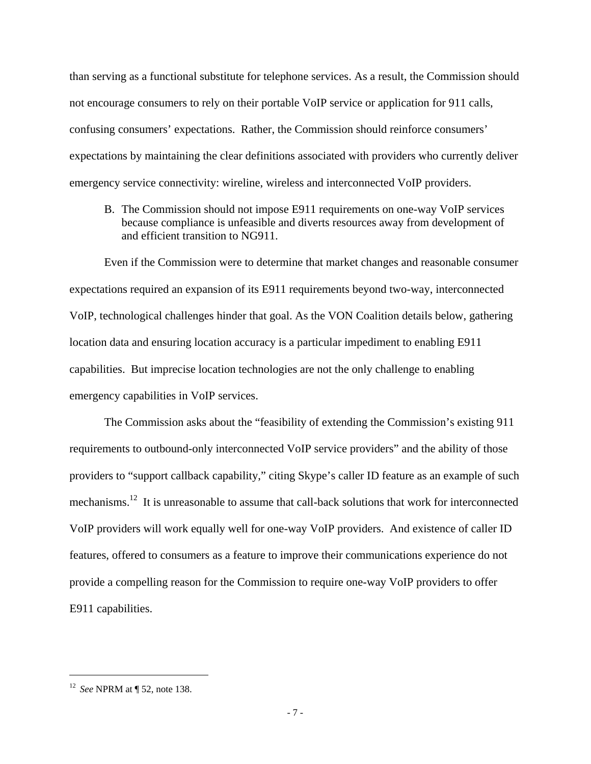than serving as a functional substitute for telephone services. As a result, the Commission should not encourage consumers to rely on their portable VoIP service or application for 911 calls, confusing consumers' expectations. Rather, the Commission should reinforce consumers' expectations by maintaining the clear definitions associated with providers who currently deliver emergency service connectivity: wireline, wireless and interconnected VoIP providers.

B. The Commission should not impose E911 requirements on one-way VoIP services because compliance is unfeasible and diverts resources away from development of and efficient transition to NG911.

 Even if the Commission were to determine that market changes and reasonable consumer expectations required an expansion of its E911 requirements beyond two-way, interconnected VoIP, technological challenges hinder that goal. As the VON Coalition details below, gathering location data and ensuring location accuracy is a particular impediment to enabling E911 capabilities. But imprecise location technologies are not the only challenge to enabling emergency capabilities in VoIP services.

 The Commission asks about the "feasibility of extending the Commission's existing 911 requirements to outbound-only interconnected VoIP service providers" and the ability of those providers to "support callback capability," citing Skype's caller ID feature as an example of such mechanisms.<sup>12</sup> It is unreasonable to assume that call-back solutions that work for interconnected VoIP providers will work equally well for one-way VoIP providers. And existence of caller ID features, offered to consumers as a feature to improve their communications experience do not provide a compelling reason for the Commission to require one-way VoIP providers to offer E911 capabilities.

<sup>12</sup> *See* NPRM at ¶ 52, note 138.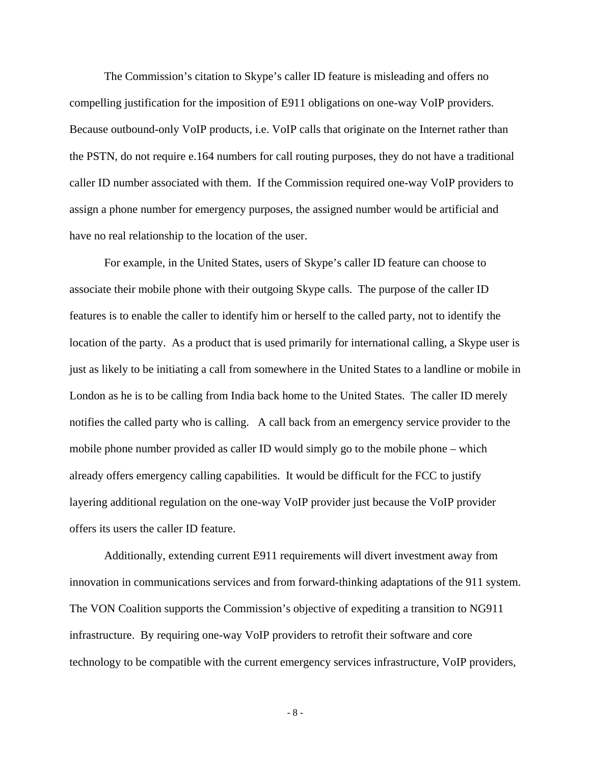The Commission's citation to Skype's caller ID feature is misleading and offers no compelling justification for the imposition of E911 obligations on one-way VoIP providers. Because outbound-only VoIP products, i.e. VoIP calls that originate on the Internet rather than the PSTN, do not require e.164 numbers for call routing purposes, they do not have a traditional caller ID number associated with them. If the Commission required one-way VoIP providers to assign a phone number for emergency purposes, the assigned number would be artificial and have no real relationship to the location of the user.

 For example, in the United States, users of Skype's caller ID feature can choose to associate their mobile phone with their outgoing Skype calls. The purpose of the caller ID features is to enable the caller to identify him or herself to the called party, not to identify the location of the party. As a product that is used primarily for international calling, a Skype user is just as likely to be initiating a call from somewhere in the United States to a landline or mobile in London as he is to be calling from India back home to the United States. The caller ID merely notifies the called party who is calling. A call back from an emergency service provider to the mobile phone number provided as caller ID would simply go to the mobile phone – which already offers emergency calling capabilities. It would be difficult for the FCC to justify layering additional regulation on the one-way VoIP provider just because the VoIP provider offers its users the caller ID feature.

 Additionally, extending current E911 requirements will divert investment away from innovation in communications services and from forward-thinking adaptations of the 911 system. The VON Coalition supports the Commission's objective of expediting a transition to NG911 infrastructure. By requiring one-way VoIP providers to retrofit their software and core technology to be compatible with the current emergency services infrastructure, VoIP providers,

- 8 -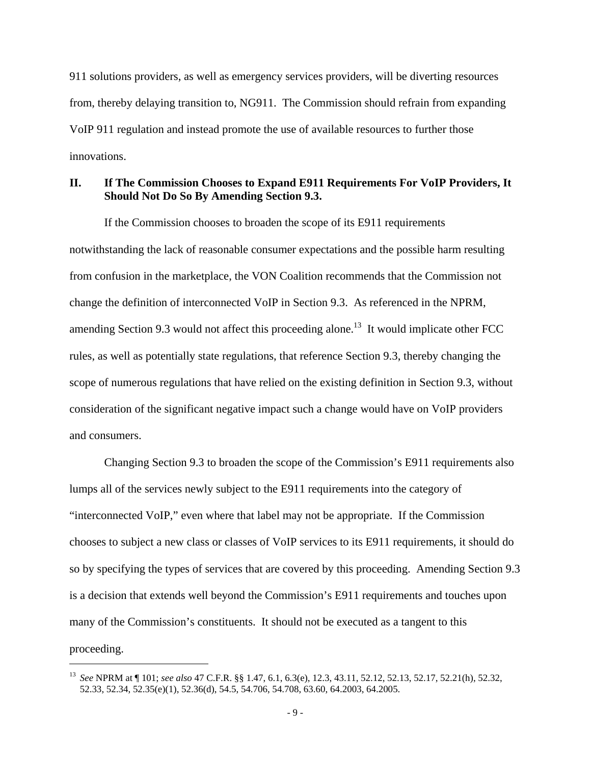911 solutions providers, as well as emergency services providers, will be diverting resources from, thereby delaying transition to, NG911. The Commission should refrain from expanding VoIP 911 regulation and instead promote the use of available resources to further those innovations.

#### **II. If The Commission Chooses to Expand E911 Requirements For VoIP Providers, It Should Not Do So By Amending Section 9.3.**

 If the Commission chooses to broaden the scope of its E911 requirements notwithstanding the lack of reasonable consumer expectations and the possible harm resulting from confusion in the marketplace, the VON Coalition recommends that the Commission not change the definition of interconnected VoIP in Section 9.3. As referenced in the NPRM, amending Section 9.3 would not affect this proceeding alone.<sup>13</sup> It would implicate other FCC rules, as well as potentially state regulations, that reference Section 9.3, thereby changing the scope of numerous regulations that have relied on the existing definition in Section 9.3, without consideration of the significant negative impact such a change would have on VoIP providers and consumers.

 Changing Section 9.3 to broaden the scope of the Commission's E911 requirements also lumps all of the services newly subject to the E911 requirements into the category of "interconnected VoIP," even where that label may not be appropriate. If the Commission chooses to subject a new class or classes of VoIP services to its E911 requirements, it should do so by specifying the types of services that are covered by this proceeding. Amending Section 9.3 is a decision that extends well beyond the Commission's E911 requirements and touches upon many of the Commission's constituents. It should not be executed as a tangent to this proceeding.

1

<sup>13</sup> *See* NPRM at ¶ 101; *see also* 47 C.F.R. §§ 1.47, 6.1, 6.3(e), 12.3, 43.11, 52.12, 52.13, 52.17, 52.21(h), 52.32, 52.33, 52.34, 52.35(e)(1), 52.36(d), 54.5, 54.706, 54.708, 63.60, 64.2003, 64.2005.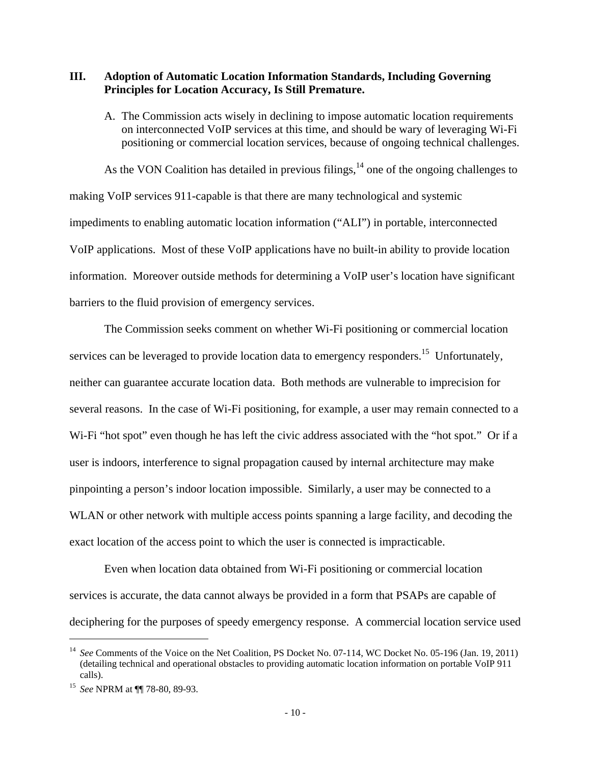#### **III. Adoption of Automatic Location Information Standards, Including Governing Principles for Location Accuracy, Is Still Premature.**

A. The Commission acts wisely in declining to impose automatic location requirements on interconnected VoIP services at this time, and should be wary of leveraging Wi-Fi positioning or commercial location services, because of ongoing technical challenges.

As the VON Coalition has detailed in previous filings, $14$  one of the ongoing challenges to making VoIP services 911-capable is that there are many technological and systemic impediments to enabling automatic location information ("ALI") in portable, interconnected VoIP applications. Most of these VoIP applications have no built-in ability to provide location information. Moreover outside methods for determining a VoIP user's location have significant barriers to the fluid provision of emergency services.

 The Commission seeks comment on whether Wi-Fi positioning or commercial location services can be leveraged to provide location data to emergency responders.<sup>15</sup> Unfortunately, neither can guarantee accurate location data. Both methods are vulnerable to imprecision for several reasons. In the case of Wi-Fi positioning, for example, a user may remain connected to a Wi-Fi "hot spot" even though he has left the civic address associated with the "hot spot." Or if a user is indoors, interference to signal propagation caused by internal architecture may make pinpointing a person's indoor location impossible. Similarly, a user may be connected to a WLAN or other network with multiple access points spanning a large facility, and decoding the exact location of the access point to which the user is connected is impracticable.

 Even when location data obtained from Wi-Fi positioning or commercial location services is accurate, the data cannot always be provided in a form that PSAPs are capable of deciphering for the purposes of speedy emergency response. A commercial location service used

<sup>&</sup>lt;sup>14</sup> *See* Comments of the Voice on the Net Coalition, PS Docket No. 07-114, WC Docket No. 05-196 (Jan. 19, 2011) (detailing technical and operational obstacles to providing automatic location information on portable VoIP 911 calls). 15 *See* NPRM at ¶¶ 78-80, 89-93.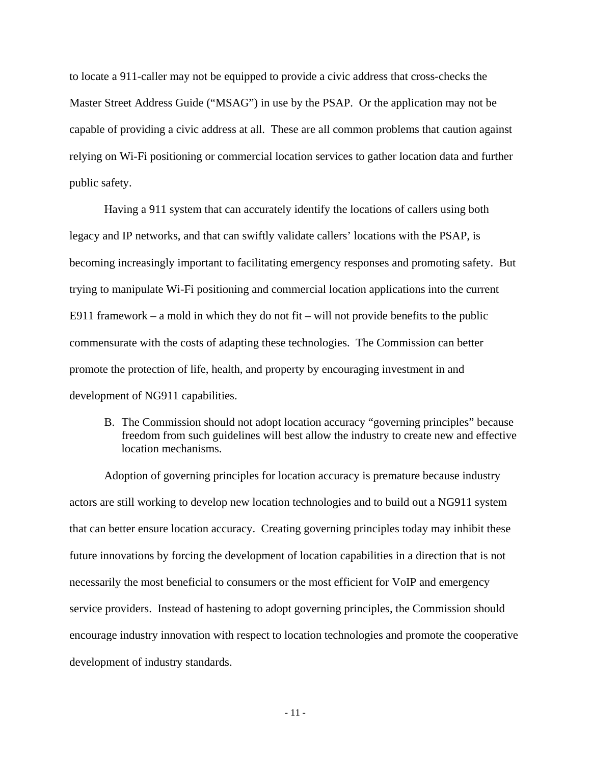to locate a 911-caller may not be equipped to provide a civic address that cross-checks the Master Street Address Guide ("MSAG") in use by the PSAP. Or the application may not be capable of providing a civic address at all. These are all common problems that caution against relying on Wi-Fi positioning or commercial location services to gather location data and further public safety.

 Having a 911 system that can accurately identify the locations of callers using both legacy and IP networks, and that can swiftly validate callers' locations with the PSAP, is becoming increasingly important to facilitating emergency responses and promoting safety. But trying to manipulate Wi-Fi positioning and commercial location applications into the current E911 framework – a mold in which they do not fit – will not provide benefits to the public commensurate with the costs of adapting these technologies. The Commission can better promote the protection of life, health, and property by encouraging investment in and development of NG911 capabilities.

B. The Commission should not adopt location accuracy "governing principles" because freedom from such guidelines will best allow the industry to create new and effective location mechanisms.

 Adoption of governing principles for location accuracy is premature because industry actors are still working to develop new location technologies and to build out a NG911 system that can better ensure location accuracy. Creating governing principles today may inhibit these future innovations by forcing the development of location capabilities in a direction that is not necessarily the most beneficial to consumers or the most efficient for VoIP and emergency service providers. Instead of hastening to adopt governing principles, the Commission should encourage industry innovation with respect to location technologies and promote the cooperative development of industry standards.